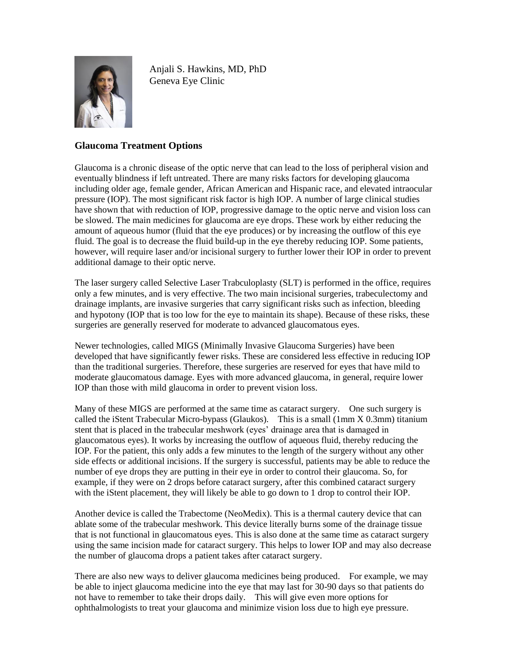

Anjali S. Hawkins, MD, PhD Geneva Eye Clinic

## **Glaucoma Treatment Options**

Glaucoma is a chronic disease of the optic nerve that can lead to the loss of peripheral vision and eventually blindness if left untreated. There are many risks factors for developing glaucoma including older age, female gender, African American and Hispanic race, and elevated intraocular pressure (IOP). The most significant risk factor is high IOP. A number of large clinical studies have shown that with reduction of IOP, progressive damage to the optic nerve and vision loss can be slowed. The main medicines for glaucoma are eye drops. These work by either reducing the amount of aqueous humor (fluid that the eye produces) or by increasing the outflow of this eye fluid. The goal is to decrease the fluid build-up in the eye thereby reducing IOP. Some patients, however, will require laser and/or incisional surgery to further lower their IOP in order to prevent additional damage to their optic nerve.

The laser surgery called Selective Laser Trabculoplasty (SLT) is performed in the office, requires only a few minutes, and is very effective. The two main incisional surgeries, trabeculectomy and drainage implants, are invasive surgeries that carry significant risks such as infection, bleeding and hypotony (IOP that is too low for the eye to maintain its shape). Because of these risks, these surgeries are generally reserved for moderate to advanced glaucomatous eyes.

Newer technologies, called MIGS (Minimally Invasive Glaucoma Surgeries) have been developed that have significantly fewer risks. These are considered less effective in reducing IOP than the traditional surgeries. Therefore, these surgeries are reserved for eyes that have mild to moderate glaucomatous damage. Eyes with more advanced glaucoma, in general, require lower IOP than those with mild glaucoma in order to prevent vision loss.

Many of these MIGS are performed at the same time as cataract surgery. One such surgery is called the iStent Trabecular Micro-bypass (Glaukos). This is a small (1mm X 0.3mm) titanium stent that is placed in the trabecular meshwork (eyes' drainage area that is damaged in glaucomatous eyes). It works by increasing the outflow of aqueous fluid, thereby reducing the IOP. For the patient, this only adds a few minutes to the length of the surgery without any other side effects or additional incisions. If the surgery is successful, patients may be able to reduce the number of eye drops they are putting in their eye in order to control their glaucoma. So, for example, if they were on 2 drops before cataract surgery, after this combined cataract surgery with the iStent placement, they will likely be able to go down to 1 drop to control their IOP.

Another device is called the Trabectome (NeoMedix). This is a thermal cautery device that can ablate some of the trabecular meshwork. This device literally burns some of the drainage tissue that is not functional in glaucomatous eyes. This is also done at the same time as cataract surgery using the same incision made for cataract surgery. This helps to lower IOP and may also decrease the number of glaucoma drops a patient takes after cataract surgery.

There are also new ways to deliver glaucoma medicines being produced. For example, we may be able to inject glaucoma medicine into the eye that may last for 30-90 days so that patients do not have to remember to take their drops daily. This will give even more options for ophthalmologists to treat your glaucoma and minimize vision loss due to high eye pressure.